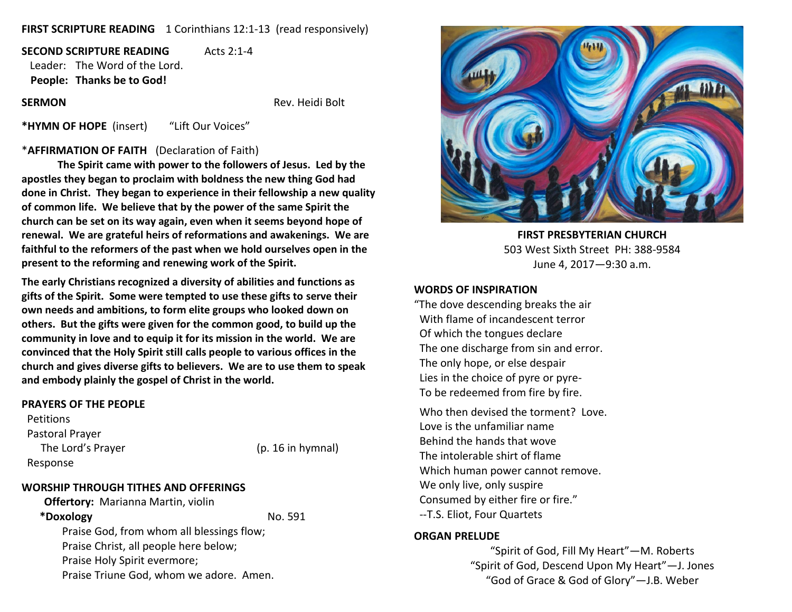## **FIRST SCRIPTURE READING** 1 Corinthians 12:1-13 (read responsively)

**SECOND SCRIPTURE READING** Acts 2:1-4 Leader: The Word of the Lord. **People: Thanks be to God!**

**SERMON Rev. Heidi Bolt Rev. Heidi Bolt** 

**\*HYMN OF HOPE** (insert) "Lift Our Voices"

#### \***AFFIRMATION OF FAITH** (Declaration of Faith)

**The Spirit came with power to the followers of Jesus. Led by the apostles they began to proclaim with boldness the new thing God had done in Christ. They began to experience in their fellowship a new quality of common life. We believe that by the power of the same Spirit the church can be set on its way again, even when it seems beyond hope of renewal. We are grateful heirs of reformations and awakenings. We are faithful to the reformers of the past when we hold ourselves open in the present to the reforming and renewing work of the Spirit.**

**The early Christians recognized a diversity of abilities and functions as gifts of the Spirit. Some were tempted to use these gifts to serve their own needs and ambitions, to form elite groups who looked down on others. But the gifts were given for the common good, to build up the community in love and to equip it for its mission in the world. We are convinced that the Holy Spirit still calls people to various offices in the church and gives diverse gifts to believers. We are to use them to speak and embody plainly the gospel of Christ in the world.**

#### **PRAYERS OF THE PEOPLE**

**Petitions**  Pastoral Prayer The Lord's Prayer (p. 16 in hymnal) Response

## **WORSHIP THROUGH TITHES AND OFFERINGS**

**Offertory:** Marianna Martin, violin **\*Doxology** No. 591 Praise God, from whom all blessings flow; Praise Christ, all people here below; Praise Holy Spirit evermore; Praise Triune God, whom we adore. Amen.



**FIRST PRESBYTERIAN CHURCH** 503 West Sixth Street PH: 388-9584 June 4, 2017—9:30 a.m.

#### **WORDS OF INSPIRATION**

"The dove descending breaks the air With flame of incandescent terror Of which the tongues declare The one discharge from sin and error. The only hope, or else despair Lies in the choice of pyre or pyre- To be redeemed from fire by fire.

 Who then devised the torment? Love. Love is the unfamiliar name Behind the hands that wove The intolerable shirt of flame Which human power cannot remove. We only live, only suspire Consumed by either fire or fire." --T.S. Eliot, Four Quartets

#### **ORGAN PRELUDE**

"Spirit of God, Fill My Heart"—M. Roberts "Spirit of God, Descend Upon My Heart"—J. Jones "God of Grace & God of Glory"—J.B. Weber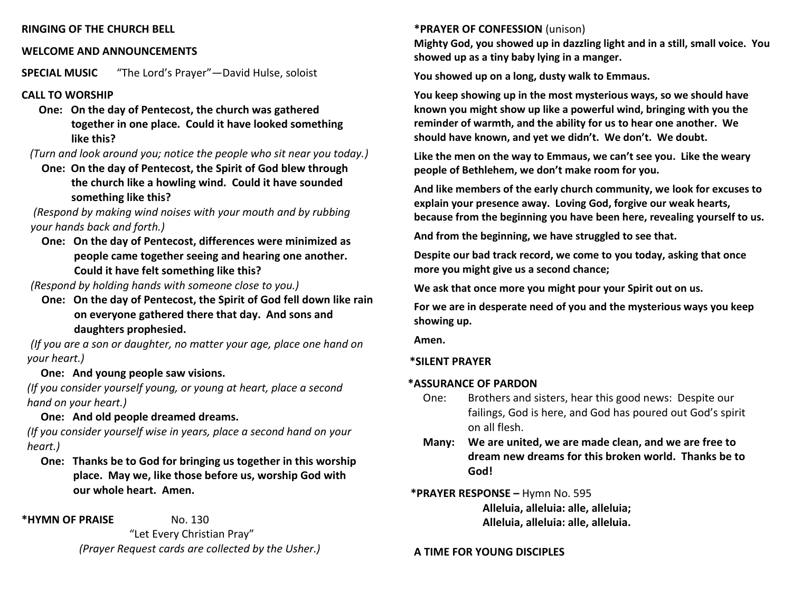## **RINGING OF THE CHURCH BELL**

# **WELCOME AND ANNOUNCEMENTS**

**SPECIAL MUSIC** "The Lord's Prayer"—David Hulse, soloist

## **CALL TO WORSHIP**

 **One: On the day of Pentecost, the church was gathered together in one place. Could it have looked something like this?**

*(Turn and look around you; notice the people who sit near you today.)*

 **One: On the day of Pentecost, the Spirit of God blew through the church like a howling wind. Could it have sounded something like this?**

*(Respond by making wind noises with your mouth and by rubbing your hands back and forth.)*

 **One: On the day of Pentecost, differences were minimized as people came together seeing and hearing one another. Could it have felt something like this?**

*(Respond by holding hands with someone close to you.)*

 **One: On the day of Pentecost, the Spirit of God fell down like rain on everyone gathered there that day. And sons and daughters prophesied.**

*(If you are a son or daughter, no matter your age, place one hand on your heart.)*

# **One: And young people saw visions.**

 *(If you consider yourself young, or young at heart, place a second hand on your heart.)*

**One: And old people dreamed dreams.**

*(If you consider yourself wise in years, place a second hand on your heart.)*

 **One: Thanks be to God for bringing us together in this worship place. May we, like those before us, worship God with our whole heart. Amen.**

**\*HYMN OF PRAISE** No. 130

 "Let Every Christian Pray" *(Prayer Request cards are collected by the Usher.)*

## **\*PRAYER OF CONFESSION** (unison)

**Mighty God, you showed up in dazzling light and in a still, small voice. You showed up as a tiny baby lying in a manger.**

**You showed up on a long, dusty walk to Emmaus.**

**You keep showing up in the most mysterious ways, so we should have known you might show up like a powerful wind, bringing with you the reminder of warmth, and the ability for us to hear one another. We should have known, and yet we didn't. We don't. We doubt.**

**Like the men on the way to Emmaus, we can't see you. Like the weary people of Bethlehem, we don't make room for you.**

**And like members of the early church community, we look for excuses to explain your presence away. Loving God, forgive our weak hearts, because from the beginning you have been here, revealing yourself to us.**

**And from the beginning, we have struggled to see that.**

**Despite our bad track record, we come to you today, asking that once more you might give us a second chance;**

**We ask that once more you might pour your Spirit out on us.**

**For we are in desperate need of you and the mysterious ways you keep showing up.**

**Amen.**

## **\*SILENT PRAYER**

## **\*ASSURANCE OF PARDON**

- One: Brothers and sisters, hear this good news: Despite our failings, God is here, and God has poured out God's spirit on all flesh.
- **Many: We are united, we are made clean, and we are free to dream new dreams for this broken world. Thanks be to God!**

# **\*PRAYER RESPONSE –** Hymn No. 595  **Alleluia, alleluia: alle, alleluia; Alleluia, alleluia: alle, alleluia.**

## **A TIME FOR YOUNG DISCIPLES**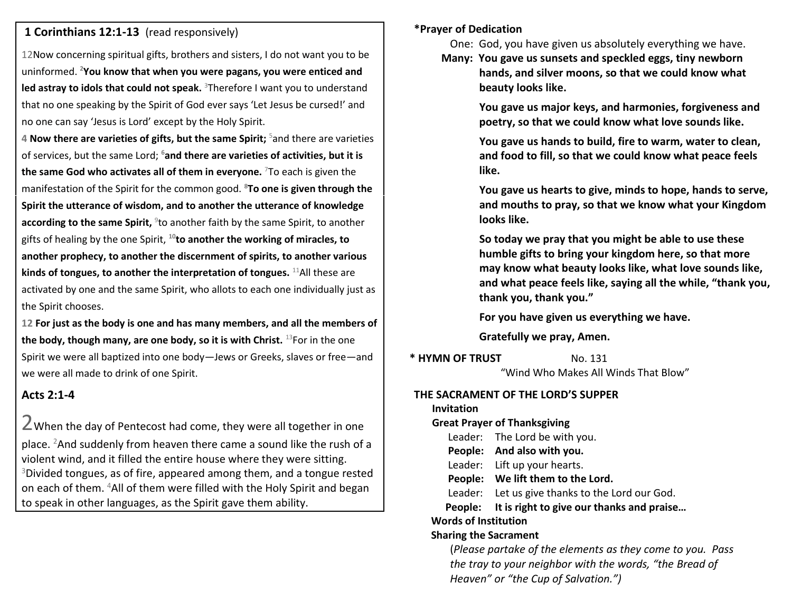## **1 Corinthians 12:1-13** (read responsively)

12Now concerning spiritual gifts, brothers and sisters, I do not want you to be uninformed. **<sup>2</sup>You know that when you were pagans, you were enticed and**  led astray to idols that could not speak. <sup>3</sup>Therefore I want you to understand that no one speaking by the Spirit of God ever says 'Let Jesus be cursed!' and no one can say 'Jesus is Lord' except by the Holy Spirit.

**4 Now there are varieties of gifts, but the same Spirit;** <sup>5</sup>and there are varieties of services, but the same Lord; **<sup>6</sup>and there are varieties of activities, but it is the same God who activates all of them in everyone.** <sup>7</sup>To each is given the manifestation of the Spirit for the common good. **<sup>8</sup>To one is given through the Spirit the utterance of wisdom, and to another the utterance of knowledge**  according to the same Spirit, <sup>9</sup>to another faith by the same Spirit, to another gifts of healing by the one Spirit, **<sup>10</sup>to another the working of miracles, to another prophecy, to another the discernment of spirits, to another various kinds of tongues, to another the interpretation of tongues.** <sup>11</sup>All these are activated by one and the same Spirit, who allots to each one individually just as the Spirit chooses.

**12 For just as the body is one and has many members, and all the members of the body, though many, are one body, so it is with Christ.** <sup>13</sup>For in the one Spirit we were all baptized into one body—Jews or Greeks, slaves or free—and we were all made to drink of one Spirit.

# **Acts 2:1-4**

2When the day of Pentecost had come, they were all together in one place. <sup>2</sup>And suddenly from heaven there came a sound like the rush of a violent wind, and it filled the entire house where they were sitting. <sup>3</sup>Divided tongues, as of fire, appeared among them, and a tongue rested on each of them. <sup>4</sup>All of them were filled with the Holy Spirit and began to speak in other languages, as the Spirit gave them ability.

## **\*Prayer of Dedication**

One: God, you have given us absolutely everything we have.

 **Many: You gave us sunsets and speckled eggs, tiny newborn hands, and silver moons, so that we could know what beauty looks like.**

> **You gave us major keys, and harmonies, forgiveness and poetry, so that we could know what love sounds like.**

> **You gave us hands to build, fire to warm, water to clean, and food to fill, so that we could know what peace feels like.**

 **You gave us hearts to give, minds to hope, hands to serve, and mouths to pray, so that we know what your Kingdom looks like.**

 **So today we pray that you might be able to use these humble gifts to bring your kingdom here, so that more may know what beauty looks like, what love sounds like, and what peace feels like, saying all the while, "thank you, thank you, thank you."**

 **For you have given us everything we have.**

 **Gratefully we pray, Amen.**

**\* HYMN OF TRUST** No. 131 "Wind Who Makes All Winds That Blow"

## **THE SACRAMENT OF THE LORD'S SUPPER**

**Invitation**

## **Great Prayer of Thanksgiving**

Leader: The Lord be with you.

 **People: And also with you.**

Leader: Lift up your hearts.

 **People: We lift them to the Lord.**

Leader: Let us give thanks to the Lord our God.

 **People: It is right to give our thanks and praise…**

## **Words of Institution**

## **Sharing the Sacrament**

(*Please partake of the elements as they come to you. Pass the tray to your neighbor with the words, "the Bread of Heaven" or "the Cup of Salvation.")*